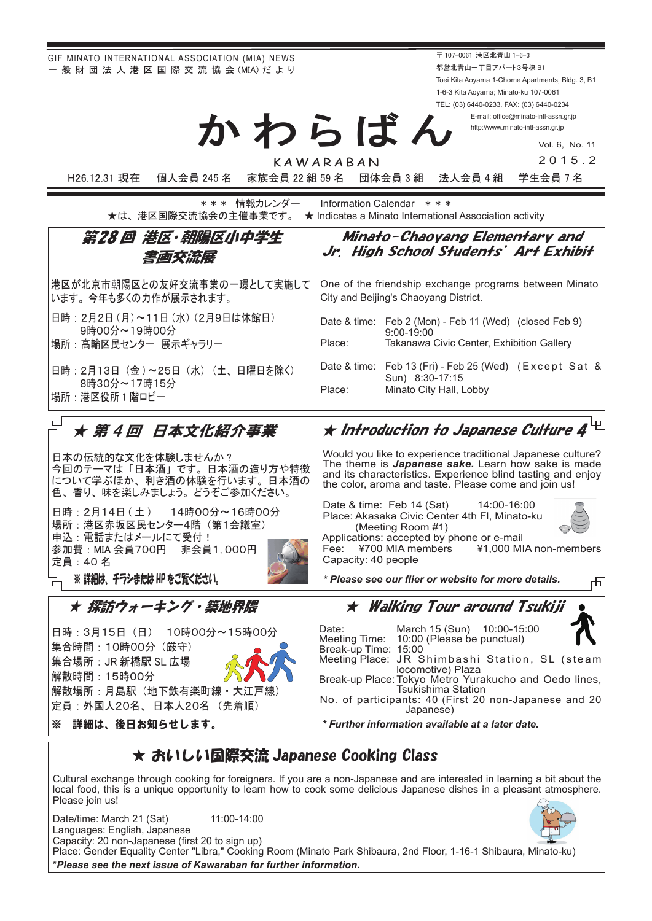GIF MINATO INTERNATIONAL ASSOCIATION (MIA) NEWS - 般 財 団 法 人 港 区 国 際 交 流 協 会 (MIA) だ よ り

〒 107-0061 港区北青山 1-6-3 都営北青山一丁目アパート3号棟 B1 Toei Kita Aoyama 1-Chome Apartments, Bldg. 3, B1 1-6-3 Kita Aoyama; Minato-ku 107-0061 TEL: (03) 6440-0233, FAX: (03) 6440-0234

> E-mail: office@minato-intl-assn.gr.jp http://www.minato-intl-assn.gr.jp

> > Vol. 6, No. 11 2015.2

KAWARABAN

かわらばん

H26.12.31 現在 個人会員 245 名 家族会員 22 組 59 名 団体会員 3 組 法人会員 4 組 学生会員 7 名

\* \* \* 情報カレンダー Information Calendar \* \* \* ★は、港区国際交流協会の主催事業です。 ★ Indicates a Minato International Association activity

#### 第28回 港区·朝陽区小中学生 書画交流展 港区が北京市朝陽区との友好交流事業の一環として実施して います。今年も多くの力作が展示されます。 Minato-Chaoyang Elementary and Jr. High School Students' Art Exhibit One of the friendship exchange programs between Minato City and Beijing's Chaoyang District.

- 日時: 2月2日 (月) ~11日 (水) (2月9日は休館日) 9時00分~19時00分
- 場所: 高輪区民センター 展示ギャラリー
- 日時: 2月13日 (金)~25日 (水) (土、日曜日を除く) 8時30分~17時15分 場所:港区役所1階ロビー

 $\overline{\mathbb{F}}^{\perp}$  ★ 第4回 日本文化紹介事業

日本の伝統的な文化を体験しませんか? 今回のテーマは「日本酒」です。日本酒の造り方や特徴 について学ぶほか、利き酒の体験を行います。日本酒の 色、香り、味を楽しみましょう。どうぞご参加ください。

日時: 2月14日 (土) 14時00分~16時00分 場所:港区赤坂区民センター4階 (第1会議室) 申込: 電話またはメールにて受付! 参加費: MIA 会員700円 非会員1,000円 定員: 40 名



┌┬ ※ 詳細は、 チラシまたは HP をご覧ください。

詳細は、後日お知らせします。

★ 探訪ウォーキング・築地界隈

日時: 3月15日 (日) 10時00分~15時00分 集合時間: 10時00分 (厳守) 集合場所:JR 新橋駅 SL 広場 解散時間: 15時00分 解散場所:月島駅(地下鉄有楽町線・大江戸線) 定員:外国人20名、 日本人20名 (先着順)



★ Walking Tour around Tsukiji Date: March 15 (Sun) 10:00-15:00<br>Meeting Time: 10:00 (Please be punctual)

币

 $(10.00)$  (Please be punctual)<br> $(15.00)$ Break-up Time:<br>Meeting Place: JR Shimbashi Station, SL (steam locomotive) Plaza Break-up Place: Tokyo Metro Yurakucho and Oedo lines,

Tsukishima Station No. of participants: 40 (First 20 non-Japanese and 20

(Japanese *.date later a at available information Further\** 

## ★ おいしい国際交流 Japanese Cooking Class

Cultural exchange through cooking for foreigners. If you are a non-Japanese and are interested in learning a bit about the local food, this is a unique opportunity to learn how to cook some delicious Japanese dishes in a pleasant atmosphere. Please ioin us!

Date/time: March 21 (Sat) 11:00-14:00 Languages: English, Japanese Capacity: 20 non-Japanese (first 20 to sign up) Place: Gender Equality Center "Libra," Cooking Room (Minato Park Shibaura, 2nd Floor, 1-16-1 Shibaura, Minato-ku) *.information further for Kawaraban of issue next the see Please*\*

# $\star$  Introduction to Japanese Culture  $4^\circ$

Date & time: Feb 13 (Fri) - Feb 25 (Wed) (Except Sat &

Date & time: Feb 2 (Mon) - Feb 11 (Wed) (closed Feb 9)

Place: Takanawa Civic Center, Exhibition Gallery

9:00-19:00

Place: Minato City Hall, Lobby

Sun) 8:30-17:15

Would you like to experience traditional Japanese culture? The theme is **Japanese sake.** Learn how sake is made and its characteristics. Experience blind tasting and enjoy the color, aroma and taste. Please come and join us!

Date & time: Feb 14 (Sat) 14:00-16:00 Place: Akasaka Civic Center 4th Fl, Minato-ku (Meeting Room #1)



Applications: accepted by phone or e-mail<br>Fee:  $\angle$  ¥700 MIA members  $\angle$  ¥1,000 MI ¥1,000 MIA non-members

*.details more for website or flier our see Please\** 

Capacity: 40 people